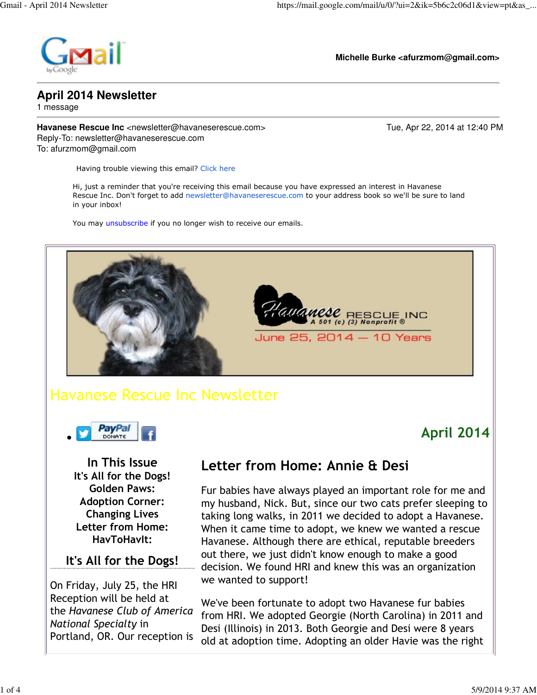

**Michelle Burke <afurzmom@gmail.com>**

## **April 2014 Newsletter**

1 message

**Havanese Rescue Inc** <newsletter@havaneserescue.com> Tue, Apr 22, 2014 at 12:40 PM Reply-To: newsletter@havaneserescue.com To: afurzmom@gmail.com

April 2014

Having trouble viewing this email? Click here

Hi, just a reminder that you're receiving this email because you have expressed an interest in Havanese Rescue Inc. Don't forget to add newsletter@havaneserescue.com to your address book so we'll be sure to land in your inbox!

You may unsubscribe if you no longer wish to receive our emails.



# Havanese Rescue Inc Newsletter



In This Issue It's All for the Dogs! Golden Paws: Adoption Corner: Changing Lives Letter from Home: HavToHavIt:

### It's All for the Dogs!

On Friday, July 25, the HRI Reception will be held at the Havanese Club of America National Specialty in Portland, OR. Our reception is

## Letter from Home: Annie & Desi

Fur babies have always played an important role for me and my husband, Nick. But, since our two cats prefer sleeping to taking long walks, in 2011 we decided to adopt a Havanese. When it came time to adopt, we knew we wanted a rescue Havanese. Although there are ethical, reputable breeders out there, we just didn't know enough to make a good decision. We found HRI and knew this was an organization we wanted to support!

We've been fortunate to adopt two Havanese fur babies from HRI. We adopted Georgie (North Carolina) in 2011 and Desi (Illinois) in 2013. Both Georgie and Desi were 8 years old at adoption time. Adopting an older Havie was the right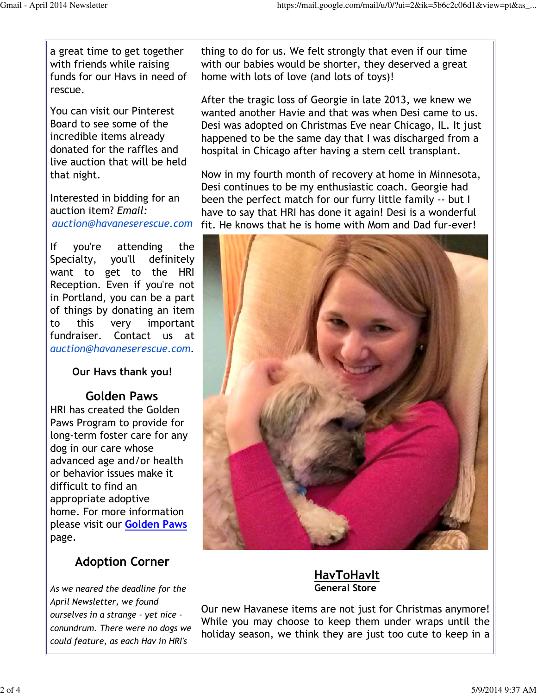a great time to get together with friends while raising funds for our Havs in need of rescue.

You can visit our Pinterest Board to see some of the incredible items already donated for the raffles and live auction that will be held that night.

Interested in bidding for an auction item? Email: auction@havaneserescue.com

If you're attending the Specialty, you'll definitely want to get to the HRI Reception. Even if you're not in Portland, you can be a part of things by donating an item to this very important fundraiser. Contact us at auction@havaneserescue.com.

Our Havs thank you!

#### Golden Paws

HRI has created the Golden Paws Program to provide for long-term foster care for any dog in our care whose advanced age and/or health or behavior issues make it difficult to find an appropriate adoptive home. For more information please visit our Golden Paws page.

### Adoption Corner

As we neared the deadline for the April Newsletter, we found ourselves in a strange - yet nice conundrum. There were no dogs we could feature, as each Hav in HRI's

thing to do for us. We felt strongly that even if our time with our babies would be shorter, they deserved a great home with lots of love (and lots of toys)!

After the tragic loss of Georgie in late 2013, we knew we wanted another Havie and that was when Desi came to us. Desi was adopted on Christmas Eve near Chicago, IL. It just happened to be the same day that I was discharged from a hospital in Chicago after having a stem cell transplant.

Now in my fourth month of recovery at home in Minnesota, Desi continues to be my enthusiastic coach. Georgie had been the perfect match for our furry little family -- but I have to say that HRI has done it again! Desi is a wonderful fit. He knows that he is home with Mom and Dad fur-ever!



**HavToHavIt** General Store

Our new Havanese items are not just for Christmas anymore! While you may choose to keep them under wraps until the holiday season, we think they are just too cute to keep in a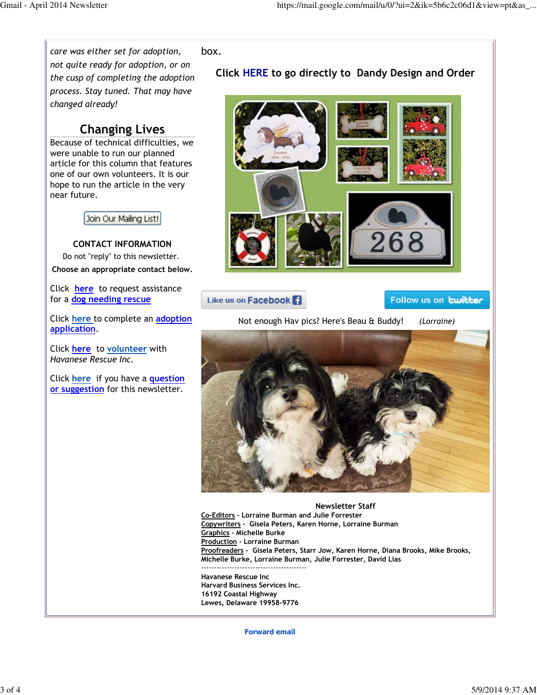

Havanese Rescue Inc

Harvard Business Services Inc. 16192 Coastal Highway Lewes, Delaware 19958-9776

Forward email